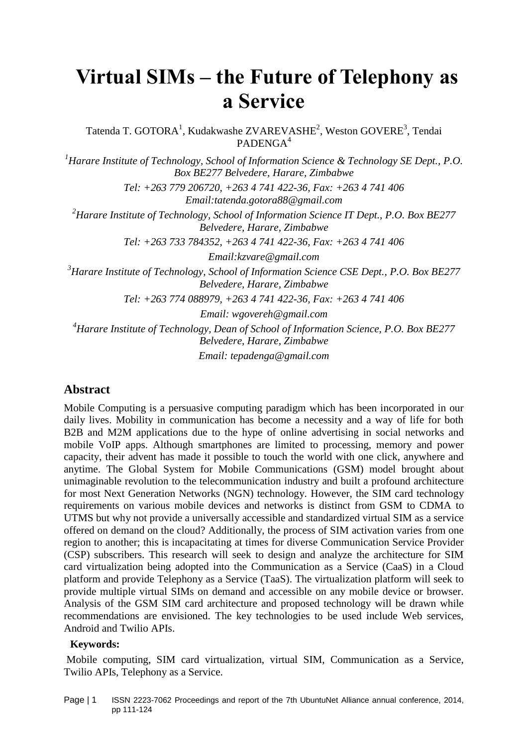# **Virtual SIMs – the Future of Telephony as a Service**

Tatenda T. GOTORA<sup>1</sup>, Kudakwashe ZVAREVASHE<sup>2</sup>, Weston GOVERE<sup>3</sup>, Tendai PADENGA<sup>4</sup>

*<sup>1</sup>Harare Institute of Technology, School of Information Science & Technology SE Dept., P.O. Box BE277 Belvedere, Harare, Zimbabwe*

> *Tel: +263 779 206720, +263 4 741 422-36, Fax: +263 4 741 406 Email:tatenda.gotora88@gmail.com*

*<sup>2</sup>Harare Institute of Technology, School of Information Science IT Dept., P.O. Box BE277 Belvedere, Harare, Zimbabwe*

*Tel: +263 733 784352, +263 4 741 422-36, Fax: +263 4 741 406* 

*Email:kzvare@gmail.com* 

*<sup>3</sup>Harare Institute of Technology, School of Information Science CSE Dept., P.O. Box BE277 Belvedere, Harare, Zimbabwe*

*Tel: +263 774 088979, +263 4 741 422-36, Fax: +263 4 741 406* 

*Email: wgovereh@gmail.com* 

*<sup>4</sup>Harare Institute of Technology, Dean of School of Information Science, P.O. Box BE277 Belvedere, Harare, Zimbabwe*

*Email: tepadenga@gmail.com*

## **Abstract**

Mobile Computing is a persuasive computing paradigm which has been incorporated in our daily lives. Mobility in communication has become a necessity and a way of life for both B2B and M2M applications due to the hype of online advertising in social networks and mobile VoIP apps. Although smartphones are limited to processing, memory and power capacity, their advent has made it possible to touch the world with one click, anywhere and anytime. The Global System for Mobile Communications (GSM) model brought about unimaginable revolution to the telecommunication industry and built a profound architecture for most Next Generation Networks (NGN) technology. However, the SIM card technology requirements on various mobile devices and networks is distinct from GSM to CDMA to UTMS but why not provide a universally accessible and standardized virtual SIM as a service offered on demand on the cloud? Additionally, the process of SIM activation varies from one region to another; this is incapacitating at times for diverse Communication Service Provider (CSP) subscribers. This research will seek to design and analyze the architecture for SIM card virtualization being adopted into the Communication as a Service (CaaS) in a Cloud platform and provide Telephony as a Service (TaaS). The virtualization platform will seek to provide multiple virtual SIMs on demand and accessible on any mobile device or browser. Analysis of the GSM SIM card architecture and proposed technology will be drawn while recommendations are envisioned. The key technologies to be used include Web services, Android and Twilio APIs.

## **Keywords:**

Mobile computing, SIM card virtualization, virtual SIM, Communication as a Service, Twilio APIs, Telephony as a Service.

Page | 1 ISSN 2223-7062 Proceedings and report of the 7th UbuntuNet Alliance annual conference, 2014, pp 111-124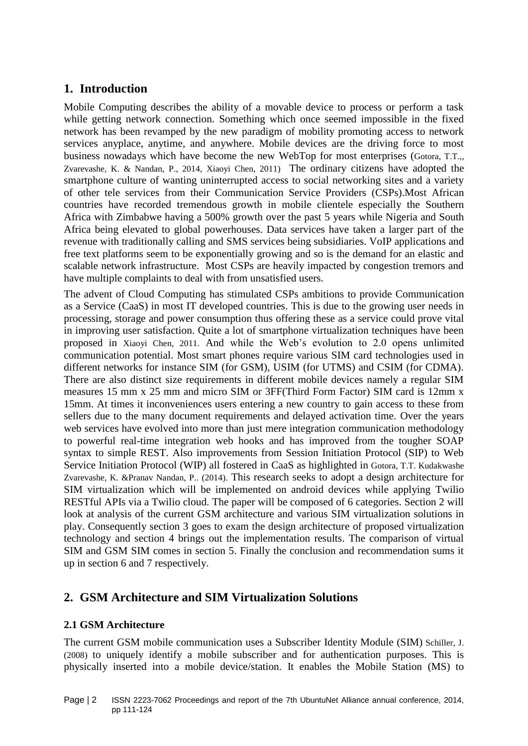# **1. Introduction**

Mobile Computing describes the ability of a movable device to process or perform a task while getting network connection. Something which once seemed impossible in the fixed network has been revamped by the new paradigm of mobility promoting access to network services anyplace, anytime, and anywhere. Mobile devices are the driving force to most business nowadays which have become the new WebTop for most enterprises (Gotora, T.T.,, Zvarevashe, K. & Nandan, P., 2014, Xiaoyi Chen, 2011) The ordinary citizens have adopted the smartphone culture of wanting uninterrupted access to social networking sites and a variety of other tele services from their Communication Service Providers (CSPs).Most African countries have recorded tremendous growth in mobile clientele especially the Southern Africa with Zimbabwe having a 500% growth over the past 5 years while Nigeria and South Africa being elevated to global powerhouses. Data services have taken a larger part of the revenue with traditionally calling and SMS services being subsidiaries. VoIP applications and free text platforms seem to be exponentially growing and so is the demand for an elastic and scalable network infrastructure. Most CSPs are heavily impacted by congestion tremors and have multiple complaints to deal with from unsatisfied users.

The advent of Cloud Computing has stimulated CSPs ambitions to provide Communication as a Service (CaaS) in most IT developed countries. This is due to the growing user needs in processing, storage and power consumption thus offering these as a service could prove vital in improving user satisfaction. Quite a lot of smartphone virtualization techniques have been proposed in Xiaoyi Chen, 2011. And while the Web's evolution to 2.0 opens unlimited communication potential. Most smart phones require various SIM card technologies used in different networks for instance SIM (for GSM), USIM (for UTMS) and CSIM (for CDMA). There are also distinct size requirements in different mobile devices namely a regular SIM measures 15 mm x 25 mm and micro SIM or 3FF(Third Form Factor) SIM card is 12mm x 15mm. At times it inconveniences users entering a new country to gain access to these from sellers due to the many document requirements and delayed activation time. Over the years web services have evolved into more than just mere integration communication methodology to powerful real-time integration web hooks and has improved from the tougher SOAP syntax to simple REST. Also improvements from Session Initiation Protocol (SIP) to Web Service Initiation Protocol (WIP) all fostered in CaaS as highlighted in Gotora, T.T. Kudakwashe Zvarevashe, K. &Pranav Nandan, P.. (2014). This research seeks to adopt a design architecture for SIM virtualization which will be implemented on android devices while applying Twilio RESTful APIs via a Twilio cloud. The paper will be composed of 6 categories. Section 2 will look at analysis of the current GSM architecture and various SIM virtualization solutions in play. Consequently section 3 goes to exam the design architecture of proposed virtualization technology and section 4 brings out the implementation results. The comparison of virtual SIM and GSM SIM comes in section 5. Finally the conclusion and recommendation sums it up in section 6 and 7 respectively.

# **2. GSM Architecture and SIM Virtualization Solutions**

# **2.1 GSM Architecture**

The current GSM mobile communication uses a Subscriber Identity Module (SIM) Schiller, J. (2008) to uniquely identify a mobile subscriber and for authentication purposes. This is physically inserted into a mobile device/station. It enables the Mobile Station (MS) to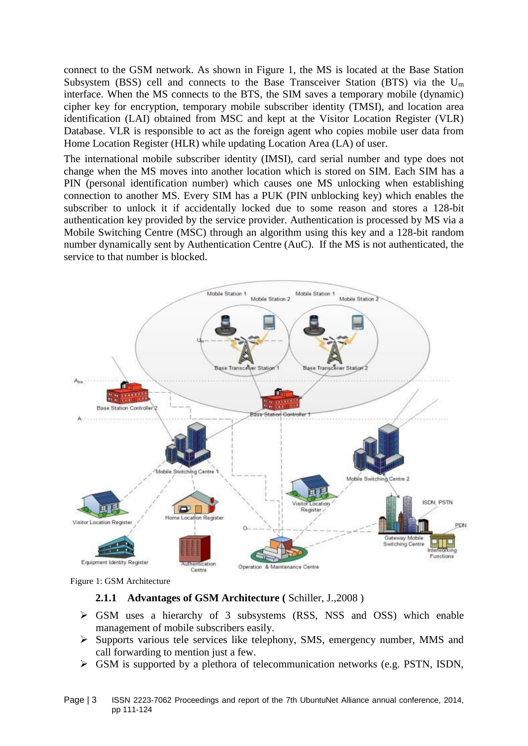connect to the GSM network. As shown in Figure 1, the MS is located at the Base Station Subsystem (BSS) cell and connects to the Base Transceiver Station (BTS) via the  $U_m$ interface. When the MS connects to the BTS, the SIM saves a temporary mobile (dynamic) cipher key for encryption, temporary mobile subscriber identity (TMSI), and location area identification (LAI) obtained from MSC and kept at the Visitor Location Register (VLR) Database. VLR is responsible to act as the foreign agent who copies mobile user data from Home Location Register (HLR) while updating Location Area (LA) of user.

The international mobile subscriber identity (IMSI), card serial number and type does not change when the MS moves into another location which is stored on SIM. Each SIM has a PIN (personal identification number) which causes one MS unlocking when establishing connection to another MS. Every SIM has a PUK (PIN unblocking key) which enables the subscriber to unlock it if accidentally locked due to some reason and stores a 128-bit authentication key provided by the service provider. Authentication is processed by MS via a Mobile Switching Centre (MSC) through an algorithm using this key and a 128-bit random number dynamically sent by Authentication Centre (AuC). If the MS is not authenticated, the service to that number is blocked.



Figure 1: GSM Architecture

#### **2.1.1 Advantages of GSM Architecture (** Schiller, J.,2008 )

- GSM uses a hierarchy of 3 subsystems (RSS, NSS and OSS) which enable management of mobile subscribers easily.
- $\triangleright$  Supports various tele services like telephony, SMS, emergency number, MMS and call forwarding to mention just a few.
- $\triangleright$  GSM is supported by a plethora of telecommunication networks (e.g. PSTN, ISDN,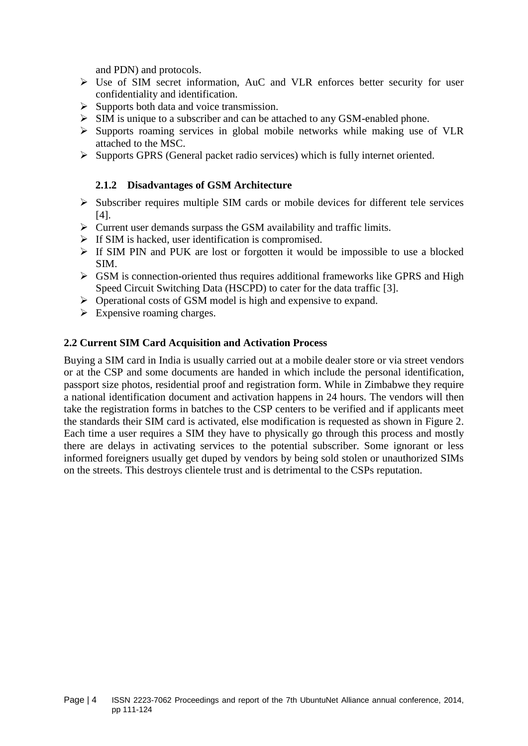and PDN) and protocols.

- Use of SIM secret information, AuC and VLR enforces better security for user confidentiality and identification.
- $\triangleright$  Supports both data and voice transmission.
- $\triangleright$  SIM is unique to a subscriber and can be attached to any GSM-enabled phone.
- $\triangleright$  Supports roaming services in global mobile networks while making use of VLR attached to the MSC.
- $\triangleright$  Supports GPRS (General packet radio services) which is fully internet oriented.

## **2.1.2 Disadvantages of GSM Architecture**

- $\triangleright$  Subscriber requires multiple SIM cards or mobile devices for different tele services [4].
- $\triangleright$  Current user demands surpass the GSM availability and traffic limits.
- $\triangleright$  If SIM is hacked, user identification is compromised.
- $\triangleright$  If SIM PIN and PUK are lost or forgotten it would be impossible to use a blocked SIM.
- $\triangleright$  GSM is connection-oriented thus requires additional frameworks like GPRS and High Speed Circuit Switching Data (HSCPD) to cater for the data traffic [3].
- $\triangleright$  Operational costs of GSM model is high and expensive to expand.
- $\triangleright$  Expensive roaming charges.

## **2.2 Current SIM Card Acquisition and Activation Process**

Buying a SIM card in India is usually carried out at a mobile dealer store or via street vendors or at the CSP and some documents are handed in which include the personal identification, passport size photos, residential proof and registration form. While in Zimbabwe they require a national identification document and activation happens in 24 hours. The vendors will then take the registration forms in batches to the CSP centers to be verified and if applicants meet the standards their SIM card is activated, else modification is requested as shown in Figure 2. Each time a user requires a SIM they have to physically go through this process and mostly there are delays in activating services to the potential subscriber. Some ignorant or less informed foreigners usually get duped by vendors by being sold stolen or unauthorized SIMs on the streets. This destroys clientele trust and is detrimental to the CSPs reputation.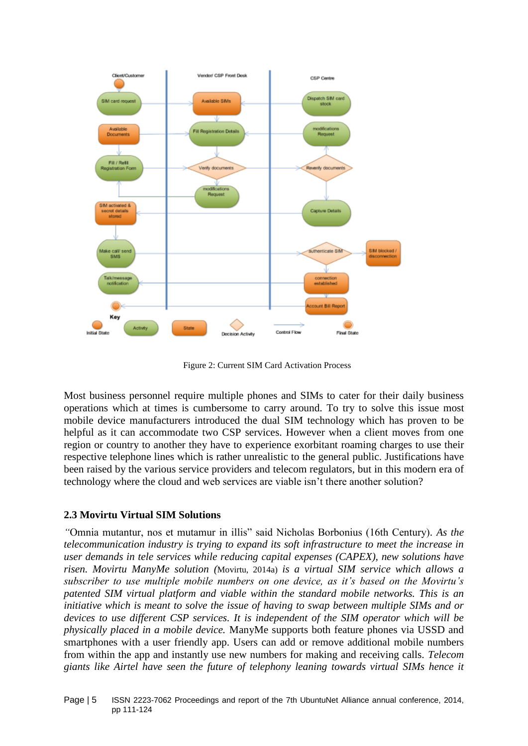

Figure 2: Current SIM Card Activation Process

Most business personnel require multiple phones and SIMs to cater for their daily business operations which at times is cumbersome to carry around. To try to solve this issue most mobile device manufacturers introduced the dual SIM technology which has proven to be helpful as it can accommodate two CSP services. However when a client moves from one region or country to another they have to experience exorbitant roaming charges to use their respective telephone lines which is rather unrealistic to the general public. Justifications have been raised by the various service providers and telecom regulators, but in this modern era of technology where the cloud and web services are viable isn't there another solution?

# **2.3 Movirtu Virtual SIM Solutions**

*"*Omnia mutantur, nos et mutamur in illis" said Nicholas Borbonius (16th Century)*. As the telecommunication industry is trying to expand its soft infrastructure to meet the increase in user demands in tele services while reducing capital expenses (CAPEX), new solutions have risen. Movirtu ManyMe solution (*Movirtu, 2014a) *is a virtual SIM service which allows a subscriber to use multiple mobile numbers on one device, as it's based on the Movirtu's patented SIM virtual platform and viable within the standard mobile networks. This is an initiative which is meant to solve the issue of having to swap between multiple SIMs and or devices to use different CSP services. It is independent of the SIM operator which will be physically placed in a mobile device.* ManyMe supports both feature phones via USSD and smartphones with a user friendly app. Users can add or remove additional mobile numbers from within the app and instantly use new numbers for making and receiving calls. *Telecom giants like Airtel have seen the future of telephony leaning towards virtual SIMs hence it*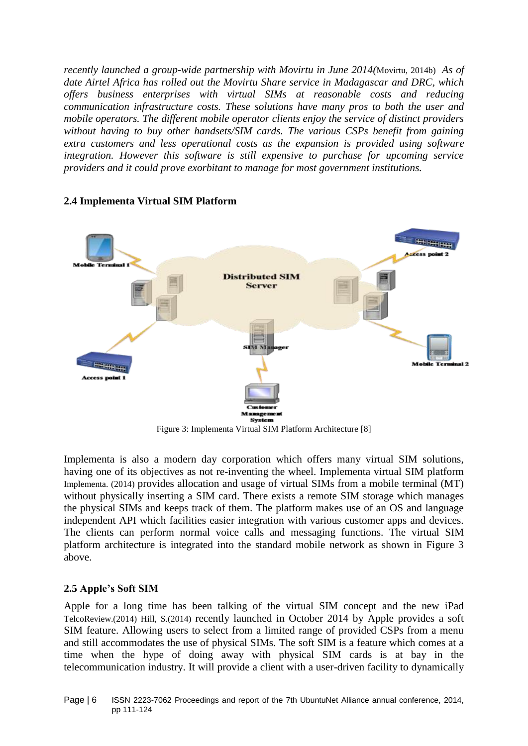*recently launched a group-wide partnership with Movirtu in June 2014(*Movirtu, 2014b) *As of date Airtel Africa has rolled out the Movirtu Share service in Madagascar and DRC, which offers business enterprises with virtual SIMs at reasonable costs and reducing communication infrastructure costs. These solutions have many pros to both the user and mobile operators. The different mobile operator clients enjoy the service of distinct providers without having to buy other handsets/SIM cards. The various CSPs benefit from gaining extra customers and less operational costs as the expansion is provided using software integration. However this software is still expensive to purchase for upcoming service providers and it could prove exorbitant to manage for most government institutions.* 



#### **2.4 Implementa Virtual SIM Platform**

Figure 3: Implementa Virtual SIM Platform Architecture [8]

Implementa is also a modern day corporation which offers many virtual SIM solutions, having one of its objectives as not re-inventing the wheel. Implementa virtual SIM platform Implementa. (2014) provides allocation and usage of virtual SIMs from a mobile terminal (MT) without physically inserting a SIM card. There exists a remote SIM storage which manages the physical SIMs and keeps track of them. The platform makes use of an OS and language independent API which facilities easier integration with various customer apps and devices. The clients can perform normal voice calls and messaging functions. The virtual SIM platform architecture is integrated into the standard mobile network as shown in Figure 3 above.

## **2.5 Apple's Soft SIM**

Apple for a long time has been talking of the virtual SIM concept and the new iPad TelcoReview.(2014) Hill, S.(2014) recently launched in October 2014 by Apple provides a soft SIM feature. Allowing users to select from a limited range of provided CSPs from a menu and still accommodates the use of physical SIMs. The soft SIM is a feature which comes at a time when the hype of doing away with physical SIM cards is at bay in the telecommunication industry. It will provide a client with a user-driven facility to dynamically

Page | 6 ISSN 2223-7062 Proceedings and report of the 7th UbuntuNet Alliance annual conference, 2014, pp 111-124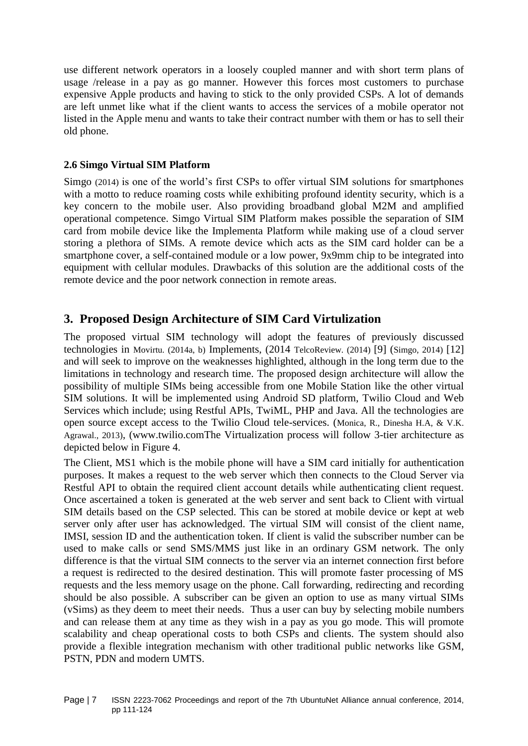use different network operators in a loosely coupled manner and with short term plans of usage /release in a pay as go manner. However this forces most customers to purchase expensive Apple products and having to stick to the only provided CSPs. A lot of demands are left unmet like what if the client wants to access the services of a mobile operator not listed in the Apple menu and wants to take their contract number with them or has to sell their old phone.

#### **2.6 Simgo Virtual SIM Platform**

Simgo (2014) is one of the world's first CSPs to offer virtual SIM solutions for smartphones with a motto to reduce roaming costs while exhibiting profound identity security, which is a key concern to the mobile user. Also providing broadband global M2M and amplified operational competence. Simgo Virtual SIM Platform makes possible the separation of SIM card from mobile device like the Implementa Platform while making use of a cloud server storing a plethora of SIMs. A remote device which acts as the SIM card holder can be a smartphone cover, a self-contained module or a low power, 9x9mm chip to be integrated into equipment with cellular modules. Drawbacks of this solution are the additional costs of the remote device and the poor network connection in remote areas.

# **3. Proposed Design Architecture of SIM Card Virtulization**

The proposed virtual SIM technology will adopt the features of previously discussed technologies in Movirtu. (2014a, b) Implements, (2014 TelcoReview. (2014) [9] (Simgo, 2014) [12] and will seek to improve on the weaknesses highlighted, although in the long term due to the limitations in technology and research time. The proposed design architecture will allow the possibility of multiple SIMs being accessible from one Mobile Station like the other virtual SIM solutions. It will be implemented using Android SD platform, Twilio Cloud and Web Services which include; using Restful APIs, TwiML, PHP and Java. All the technologies are open source except access to the Twilio Cloud tele-services. (Monica, R., Dinesha H.A, & V.K. Agrawal., 2013), (www.twilio.comThe Virtualization process will follow 3-tier architecture as depicted below in Figure 4.

The Client, MS1 which is the mobile phone will have a SIM card initially for authentication purposes. It makes a request to the web server which then connects to the Cloud Server via Restful API to obtain the required client account details while authenticating client request. Once ascertained a token is generated at the web server and sent back to Client with virtual SIM details based on the CSP selected. This can be stored at mobile device or kept at web server only after user has acknowledged. The virtual SIM will consist of the client name, IMSI, session ID and the authentication token. If client is valid the subscriber number can be used to make calls or send SMS/MMS just like in an ordinary GSM network. The only difference is that the virtual SIM connects to the server via an internet connection first before a request is redirected to the desired destination. This will promote faster processing of MS requests and the less memory usage on the phone. Call forwarding, redirecting and recording should be also possible. A subscriber can be given an option to use as many virtual SIMs (vSims) as they deem to meet their needs. Thus a user can buy by selecting mobile numbers and can release them at any time as they wish in a pay as you go mode. This will promote scalability and cheap operational costs to both CSPs and clients. The system should also provide a flexible integration mechanism with other traditional public networks like GSM, PSTN, PDN and modern UMTS.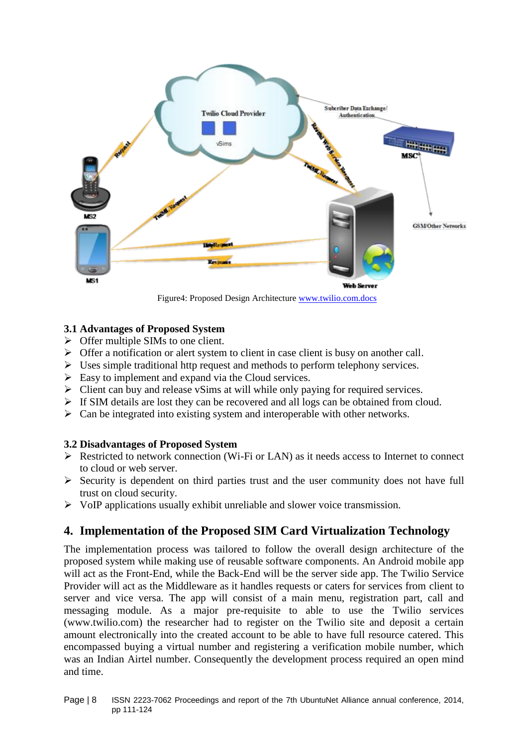

Figure4: Proposed Design Architecture [www.twilio.com.docs](http://www.twilio.com.docs/)

## **3.1 Advantages of Proposed System**

- $\triangleright$  Offer multiple SIMs to one client.
- $\triangleright$  Offer a notification or alert system to client in case client is busy on another call.
- $\triangleright$  Uses simple traditional http request and methods to perform telephony services.
- $\triangleright$  Easy to implement and expand via the Cloud services.
- $\triangleright$  Client can buy and release vSims at will while only paying for required services.
- $\triangleright$  If SIM details are lost they can be recovered and all logs can be obtained from cloud.
- $\triangleright$  Can be integrated into existing system and interoperable with other networks.

## **3.2 Disadvantages of Proposed System**

- $\triangleright$  Restricted to network connection (Wi-Fi or LAN) as it needs access to Internet to connect to cloud or web server.
- $\triangleright$  Security is dependent on third parties trust and the user community does not have full trust on cloud security.
- $\triangleright$  VoIP applications usually exhibit unreliable and slower voice transmission.

# **4. Implementation of the Proposed SIM Card Virtualization Technology**

The implementation process was tailored to follow the overall design architecture of the proposed system while making use of reusable software components. An Android mobile app will act as the Front-End, while the Back-End will be the server side app. The Twilio Service Provider will act as the Middleware as it handles requests or caters for services from client to server and vice versa. The app will consist of a main menu, registration part, call and messaging module. As a major pre-requisite to able to use the Twilio services (www.twilio.com) the researcher had to register on the Twilio site and deposit a certain amount electronically into the created account to be able to have full resource catered. This encompassed buying a virtual number and registering a verification mobile number, which was an Indian Airtel number. Consequently the development process required an open mind and time.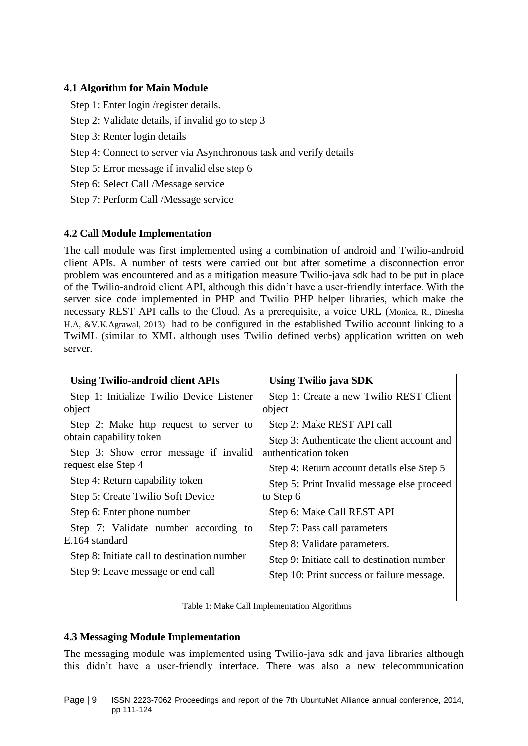## **4.1 Algorithm for Main Module**

Step 1: Enter login /register details.

- Step 2: Validate details, if invalid go to step 3
- Step 3: Renter login details
- Step 4: Connect to server via Asynchronous task and verify details
- Step 5: Error message if invalid else step 6
- Step 6: Select Call /Message service
- Step 7: Perform Call /Message service

## **4.2 Call Module Implementation**

The call module was first implemented using a combination of android and Twilio-android client APIs. A number of tests were carried out but after sometime a disconnection error problem was encountered and as a mitigation measure Twilio-java sdk had to be put in place of the Twilio-android client API, although this didn't have a user-friendly interface. With the server side code implemented in PHP and Twilio PHP helper libraries, which make the necessary REST API calls to the Cloud. As a prerequisite, a voice URL (Monica, R., Dinesha H.A, &V.K.Agrawal, 2013) had to be configured in the established Twilio account linking to a TwiML (similar to XML although uses Twilio defined verbs) application written on web server.

| <b>Using Twilio-android client APIs</b>                | Using Twilio java SDK                       |
|--------------------------------------------------------|---------------------------------------------|
| Step 1: Initialize Twilio Device Listener              | Step 1: Create a new Twilio REST Client     |
| object                                                 | object                                      |
| Step 2: Make http request to server to                 | Step 2: Make REST API call                  |
| obtain capability token                                | Step 3: Authenticate the client account and |
| Step 3: Show error message if invalid                  | authentication token                        |
| request else Step 4                                    | Step 4: Return account details else Step 5  |
| Step 4: Return capability token                        | Step 5: Print Invalid message else proceed  |
| Step 5: Create Twilio Soft Device                      | to Step 6                                   |
| Step 6: Enter phone number                             | Step 6: Make Call REST API                  |
| Step 7: Validate number according to<br>E.164 standard | Step 7: Pass call parameters                |
|                                                        | Step 8: Validate parameters.                |
| Step 8: Initiate call to destination number            | Step 9: Initiate call to destination number |
| Step 9: Leave message or end call                      | Step 10: Print success or failure message.  |
|                                                        |                                             |

Table 1: Make Call Implementation Algorithms

## **4.3 Messaging Module Implementation**

The messaging module was implemented using Twilio-java sdk and java libraries although this didn't have a user-friendly interface. There was also a new telecommunication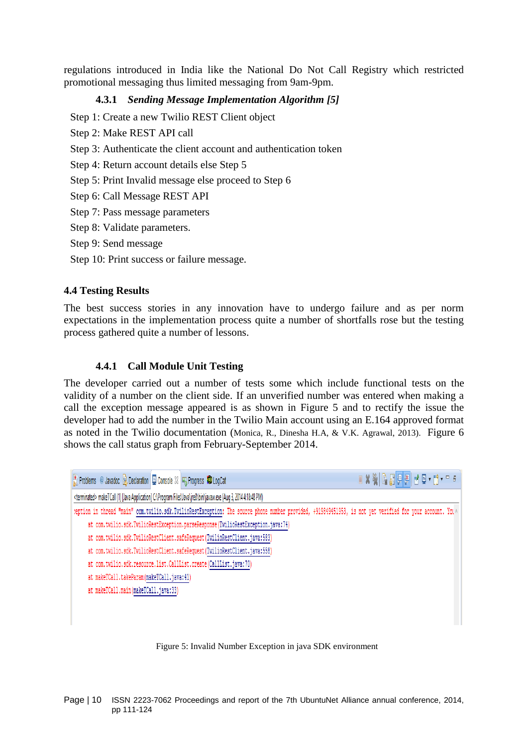regulations introduced in India like the National Do Not Call Registry which restricted promotional messaging thus limited messaging from 9am-9pm.

## **4.3.1** *Sending Message Implementation Algorithm [5]*

Step 1: Create a new Twilio REST Client object

- Step 2: Make REST API call
- Step 3: Authenticate the client account and authentication token
- Step 4: Return account details else Step 5
- Step 5: Print Invalid message else proceed to Step 6
- Step 6: Call Message REST API
- Step 7: Pass message parameters
- Step 8: Validate parameters.
- Step 9: Send message
- Step 10: Print success or failure message.

#### **4.4 Testing Results**

The best success stories in any innovation have to undergo failure and as per norm expectations in the implementation process quite a number of shortfalls rose but the testing process gathered quite a number of lessons.

#### **4.4.1 Call Module Unit Testing**

The developer carried out a number of tests some which include functional tests on the validity of a number on the client side. If an unverified number was entered when making a call the exception message appeared is as shown in Figure 5 and to rectify the issue the developer had to add the number in the Twilio Main account using an E.164 approved format as noted in the Twilio documentation (Monica, R., Dinesha H.A, & V.K. Agrawal, 2013). Figure 6 shows the call status graph from February-September 2014.

| Reflection @ Javadoc B Declaration D Console X R Progress D LogCat        |                                                                                                                                                         | ka XXX   Bale   e   e   e   e   e   e |
|---------------------------------------------------------------------------|---------------------------------------------------------------------------------------------------------------------------------------------------------|---------------------------------------|
|                                                                           | <terminated> makeTCall (1) [Java Application] C:\Program Files\Java\jre8\bin\javaw.exe (Aug 3, 2014 4:18:48 PM)</terminated>                            |                                       |
|                                                                           | :eption in thread "main" com.twilio.sdk.TwilioRestException: The source phone number provided, +919849451953, is not yet verified for your account. You |                                       |
|                                                                           | at com.twilio.sdk.TwilioRestException.parseResponse(TwilioRestException.java:74)                                                                        |                                       |
|                                                                           | at com.twilio.sdk.TwilioRestClient.safeRequest(TwilioRestClient.java:583)                                                                               |                                       |
| at com.twilio.sdk.TwilioRestClient.safeRequest(TwilioRestClient.java:558) |                                                                                                                                                         |                                       |
| at com.twilio.sdk.resource.list.CallList.create(CallList.java:70)         |                                                                                                                                                         |                                       |
| at makeTCall.takeParam(makeTCall.java:41)                                 |                                                                                                                                                         |                                       |
| at makeTCall.main(makeTCall.java:33)                                      |                                                                                                                                                         |                                       |
|                                                                           |                                                                                                                                                         |                                       |
|                                                                           |                                                                                                                                                         |                                       |

#### Figure 5: Invalid Number Exception in java SDK environment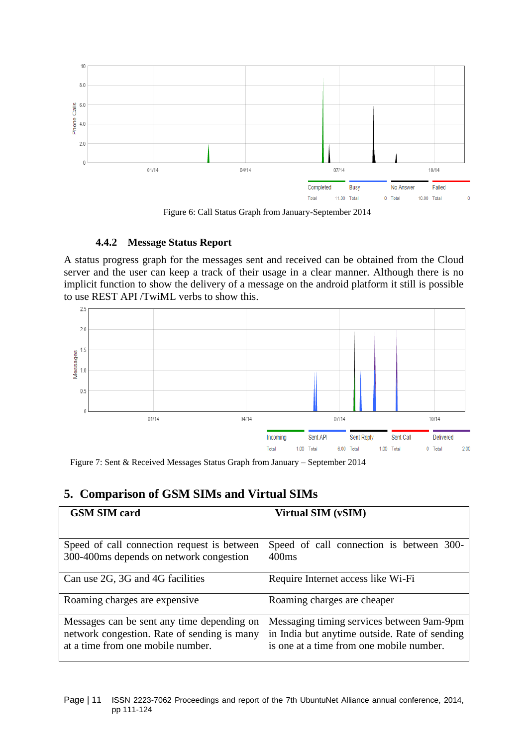

Figure 6: Call Status Graph from January-September 2014

#### **4.4.2 Message Status Report**

A status progress graph for the messages sent and received can be obtained from the Cloud server and the user can keep a track of their usage in a clear manner. Although there is no implicit function to show the delivery of a message on the android platform it still is possible to use REST API /TwiML verbs to show this.



Figure 7: Sent & Received Messages Status Graph from January – September 2014

# **5. Comparison of GSM SIMs and Virtual SIMs**

| <b>GSM SIM card</b>                         | Virtual SIM (vSIM)                            |
|---------------------------------------------|-----------------------------------------------|
|                                             |                                               |
| Speed of call connection request is between | Speed of call connection is between 300-      |
| 300-400 ms depends on network congestion    | 400 <sub>ms</sub>                             |
| Can use 2G, 3G and 4G facilities            | Require Internet access like Wi-Fi            |
| Roaming charges are expensive.              | Roaming charges are cheaper                   |
| Messages can be sent any time depending on  | Messaging timing services between 9am-9pm     |
| network congestion. Rate of sending is many | in India but anytime outside. Rate of sending |
| at a time from one mobile number.           | is one at a time from one mobile number.      |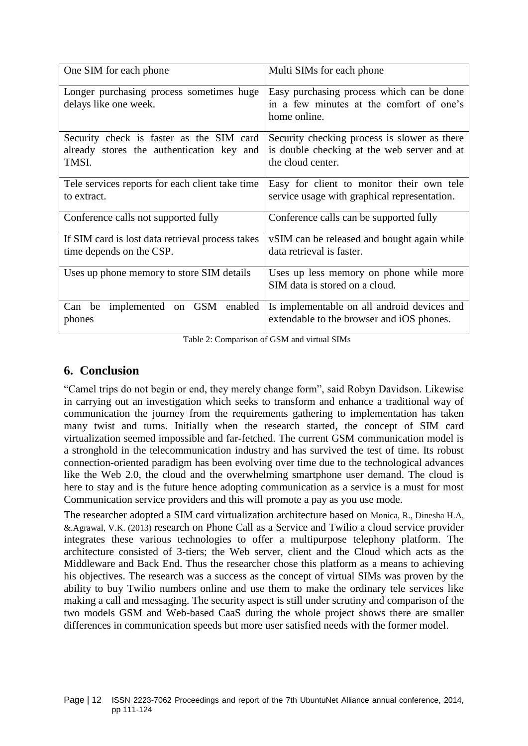| One SIM for each phone                                                                         | Multi SIMs for each phone                                                                                        |
|------------------------------------------------------------------------------------------------|------------------------------------------------------------------------------------------------------------------|
| Longer purchasing process sometimes huge<br>delays like one week.                              | Easy purchasing process which can be done<br>in a few minutes at the comfort of one's<br>home online.            |
|                                                                                                |                                                                                                                  |
| Security check is faster as the SIM card<br>already stores the authentication key and<br>TMSI. | Security checking process is slower as there<br>is double checking at the web server and at<br>the cloud center. |
| Tele services reports for each client take time<br>to extract.                                 | Easy for client to monitor their own tele<br>service usage with graphical representation.                        |
| Conference calls not supported fully                                                           | Conference calls can be supported fully                                                                          |
| If SIM card is lost data retrieval process takes<br>time depends on the CSP.                   | vSIM can be released and bought again while<br>data retrieval is faster.                                         |
| Uses up phone memory to store SIM details                                                      | Uses up less memory on phone while more<br>SIM data is stored on a cloud.                                        |
| implemented on GSM<br>Can be<br>enabled<br>phones                                              | Is implementable on all android devices and<br>extendable to the browser and iOS phones.                         |

Table 2: Comparison of GSM and virtual SIMs

# **6. Conclusion**

"Camel trips do not begin or end, they merely change form", said Robyn Davidson. Likewise in carrying out an investigation which seeks to transform and enhance a traditional way of communication the journey from the requirements gathering to implementation has taken many twist and turns. Initially when the research started, the concept of SIM card virtualization seemed impossible and far-fetched. The current GSM communication model is a stronghold in the telecommunication industry and has survived the test of time. Its robust connection-oriented paradigm has been evolving over time due to the technological advances like the Web 2.0, the cloud and the overwhelming smartphone user demand. The cloud is here to stay and is the future hence adopting communication as a service is a must for most Communication service providers and this will promote a pay as you use mode.

The researcher adopted a SIM card virtualization architecture based on Monica, R., Dinesha H.A, &.Agrawal, V.K. (2013) research on Phone Call as a Service and Twilio a cloud service provider integrates these various technologies to offer a multipurpose telephony platform. The architecture consisted of 3-tiers; the Web server, client and the Cloud which acts as the Middleware and Back End. Thus the researcher chose this platform as a means to achieving his objectives. The research was a success as the concept of virtual SIMs was proven by the ability to buy Twilio numbers online and use them to make the ordinary tele services like making a call and messaging. The security aspect is still under scrutiny and comparison of the two models GSM and Web-based CaaS during the whole project shows there are smaller differences in communication speeds but more user satisfied needs with the former model.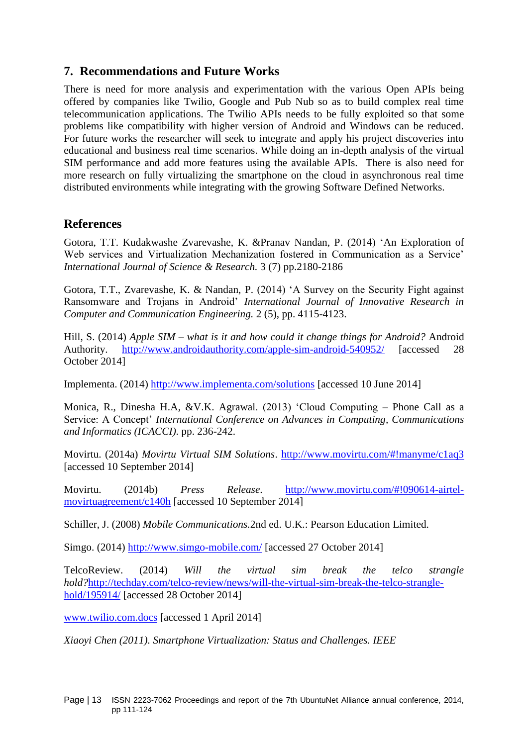# **7. Recommendations and Future Works**

There is need for more analysis and experimentation with the various Open APIs being offered by companies like Twilio, Google and Pub Nub so as to build complex real time telecommunication applications. The Twilio APIs needs to be fully exploited so that some problems like compatibility with higher version of Android and Windows can be reduced. For future works the researcher will seek to integrate and apply his project discoveries into educational and business real time scenarios. While doing an in-depth analysis of the virtual SIM performance and add more features using the available APIs. There is also need for more research on fully virtualizing the smartphone on the cloud in asynchronous real time distributed environments while integrating with the growing Software Defined Networks.

# **References**

Gotora, T.T. Kudakwashe Zvarevashe, K. &Pranav Nandan, P. (2014) 'An Exploration of Web services and Virtualization Mechanization fostered in Communication as a Service' *International Journal of Science & Research.* 3 (7) pp.2180-2186

Gotora, T.T., Zvarevashe, K. & Nandan, P. (2014) 'A Survey on the Security Fight against Ransomware and Trojans in Android' *International Journal of Innovative Research in Computer and Communication Engineering.* 2 (5), pp. 4115-4123.

Hill, S. (2014) *Apple SIM – what is it and how could it change things for Android?* Android Authority. <http://www.androidauthority.com/apple-sim-android-540952/> [accessed 28 October 2014]

Implementa. (2014)<http://www.implementa.com/solutions> [accessed 10 June 2014]

Monica, R., Dinesha H.A, &V.K. Agrawal. (2013) 'Cloud Computing – Phone Call as a Service: A Concept' *International Conference on Advances in Computing, Communications and Informatics (ICACCI)*. pp. 236-242.

Movirtu. (2014a) *Movirtu Virtual SIM Solutions*.<http://www.movirtu.com/#!manyme/c1aq3> [accessed 10 September 2014]

Movirtu. (2014b) *Press Release*. [http://www.movirtu.com/#!090614-airtel](http://www.movirtu.com/#!090614-airtel-movirtuagreement/c140h)[movirtuagreement/c140h](http://www.movirtu.com/#!090614-airtel-movirtuagreement/c140h) [accessed 10 September 2014]

Schiller, J. (2008) *Mobile Communications.*2nd ed. U.K.: Pearson Education Limited.

Simgo. (2014)<http://www.simgo-mobile.com/> [accessed 27 October 2014]

TelcoReview. (2014) *Will the virtual sim break the telco strangle hold?*[http://techday.com/telco-review/news/will-the-virtual-sim-break-the-telco-strangle](http://techday.com/telco-review/news/will-the-virtual-sim-break-the-telco-strangle-hold/195914/)[hold/195914/](http://techday.com/telco-review/news/will-the-virtual-sim-break-the-telco-strangle-hold/195914/) [accessed 28 October 2014]

[www.twilio.com.docs](http://www.twilio.com.docs/) [accessed 1 April 2014]

*Xiaoyi Chen (2011). Smartphone Virtualization: Status and Challenges. IEEE*